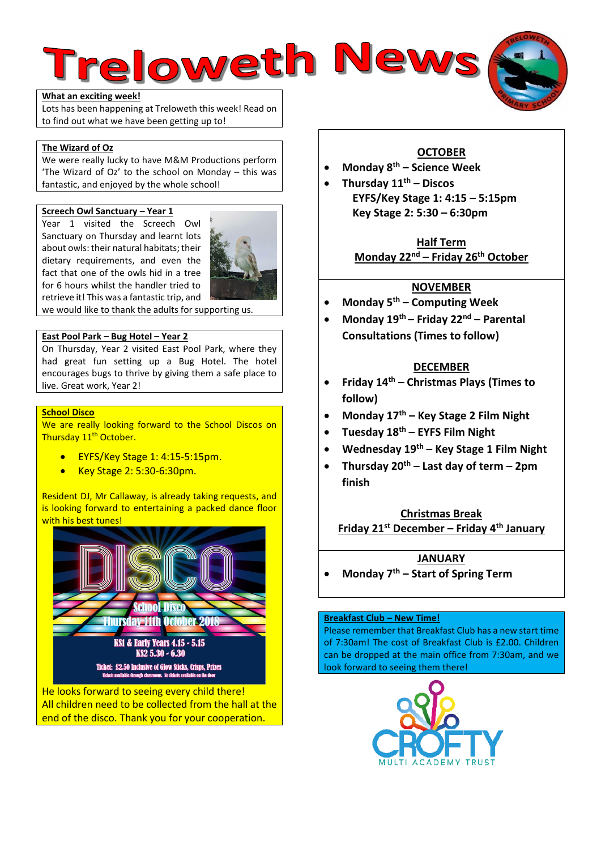# reloweth New:

#### **What an exciting week!**

Lots has been happening at Treloweth this week! Read on to find out what we have been getting up to!

#### **The Wizard of Oz**

We were really lucky to have M&M Productions perform 'The Wizard of Oz' to the school on Monday – this was fantastic, and enjoyed by the whole school!

#### **Screech Owl Sanctuary – Year 1**

Year 1 visited the Screech Owl Sanctuary on Thursday and learnt lots about owls: their natural habitats; their dietary requirements, and even the fact that one of the owls hid in a tree for 6 hours whilst the handler tried to retrieve it! This was a fantastic trip, and



we would like to thank the adults for supporting us.

#### **East Pool Park – Bug Hotel – Year 2**

On Thursday, Year 2 visited East Pool Park, where they had great fun setting up a Bug Hotel. The hotel encourages bugs to thrive by giving them a safe place to live. Great work, Year 2!

#### **School Disco**

We are really looking forward to the School Discos on Thursday 11<sup>th</sup> October.

- EYFS/Key Stage 1: 4:15-5:15pm.
- Key Stage 2: 5:30-6:30pm.

Resident DJ, Mr Callaway, is already taking requests, and is looking forward to entertaining a packed dance floor with his best tunes!



He looks forward to seeing every child there! All children need to be collected from the hall at the end of the disco. Thank you for your cooperation.

### **OCTOBER**

- **Monday 8th – Science Week**
- **Thursday 11th – Discos EYFS/Key Stage 1: 4:15 – 5:15pm Key Stage 2: 5:30 – 6:30pm**

**Half Term Monday 22nd – Friday 26th October**

#### **NOVEMBER**

- **Monday 5th – Computing Week**
- **Monday 19th – Friday 22nd – Parental Consultations (Times to follow)**

#### **DECEMBER**

- **Friday 14th – Christmas Plays (Times to follow)**
- **Monday 17th – Key Stage 2 Film Night**
- **Tuesday 18th – EYFS Film Night**
- **Wednesday 19th – Key Stage 1 Film Night**
- **Thursday 20th – Last day of term – 2pm finish**

**Christmas Break Friday 21st December – Friday 4th January**

#### **JANUARY**

**Monday 7th – Start of Spring Term** 

#### **Breakfast Club – New Time!**

Please remember that Breakfast Club has a new start time of 7:30am! The cost of Breakfast Club is £2.00. Children can be dropped at the main office from 7:30am, and we look forward to seeing them there!